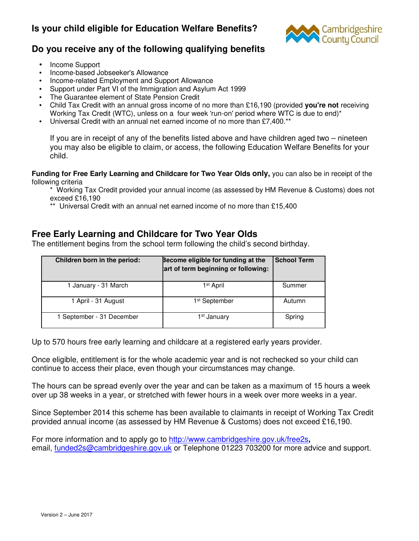# **Is your child eligible for Education Welfare Benefits?**



# **Do you receive any of the following qualifying benefits**

- Income Support
- Income-based Jobseeker's Allowance
- Income-related Employment and Support Allowance
- Support under Part VI of the Immigration and Asylum Act 1999
- The Guarantee element of State Pension Credit
- Child Tax Credit with an annual gross income of no more than £16,190 (provided **you're not** receiving Working Tax Credit (WTC), unless on a four week 'run-on' period where WTC is due to end)\*
- Universal Credit with an annual net earned income of no more than £7,400.\*\*

If you are in receipt of any of the benefits listed above and have children aged two – nineteen you may also be eligible to claim, or access, the following Education Welfare Benefits for your child.

**Funding for Free Early Learning and Childcare for Two Year Olds only,** you can also be in receipt of the following criteria

\* Working Tax Credit provided your annual income (as assessed by HM Revenue & Customs) does not exceed £16,190

\*\* Universal Credit with an annual net earned income of no more than £15,400

## **Free Early Learning and Childcare for Two Year Olds**

The entitlement begins from the school term following the child's second birthday.

| Children born in the period: | Become eligible for funding at the<br>art of term beginning or following: | <b>School Term</b> |
|------------------------------|---------------------------------------------------------------------------|--------------------|
| 1 January - 31 March         | 1 <sup>st</sup> April                                                     | Summer             |
| 1 April - 31 August          | 1 <sup>st</sup> September                                                 | Autumn             |
| 1 September - 31 December    | 1 <sup>st</sup> January                                                   | Spring             |

Up to 570 hours free early learning and childcare at a registered early years provider.

Once eligible, entitlement is for the whole academic year and is not rechecked so your child can continue to access their place, even though your circumstances may change.

The hours can be spread evenly over the year and can be taken as a maximum of 15 hours a week over up 38 weeks in a year, or stretched with fewer hours in a week over more weeks in a year.

Since September 2014 this scheme has been available to claimants in receipt of Working Tax Credit provided annual income (as assessed by HM Revenue & Customs) does not exceed £16,190.

For more information and to apply go to http://www.cambridgeshire.gov.uk/free2s**,**  email, funded2s@cambridgeshire.gov.uk or Telephone 01223 703200 for more advice and support.